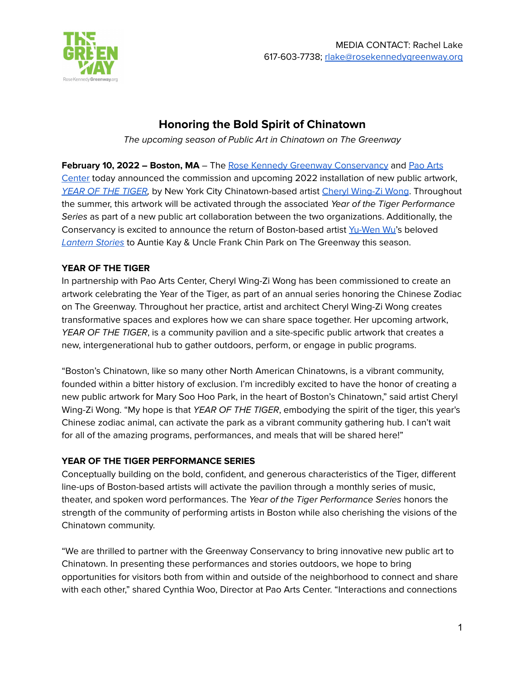

# **Honoring the Bold Spirit of Chinatown**

The upcoming season of Public Art in Chinatown on The Greenway

**February 10, 2022 – Boston, MA** – The Rose Kennedy Greenway [Conservancy](http://rosekennedygreenway.org) and Pao [Arts](https://bcnc.net/pao) [Center](https://bcnc.net/pao) today announced the commission and upcoming 2022 installation of new public artwork, YEAR OF THE [TIGER](https://www.rosekennedygreenway.org/yearofthetiger), by New York City Chinatown-based artist Cheryl [Wing-Zi](https://www.cw-zw.com/about/) Wong. Throughout the summer, this artwork will be activated through the associated Year of the Tiger Performance Series as part of a new public art collaboration between the two organizations. Additionally, the Conservancy is excited to announce the return of Boston-based artist [Yu-Wen](http://www.yuwenwu.com/) Wu's beloved **[Lantern](https://www.rosekennedygreenway.org/lanternstories2022) Stories to Auntie Kay & Uncle Frank Chin Park on The Greenway this season.** 

# **YEAR OF THE TIGER**

In partnership with Pao Arts Center, Cheryl Wing-Zi Wong has been commissioned to create an artwork celebrating the Year of the Tiger, as part of an annual series honoring the Chinese Zodiac on The Greenway. Throughout her practice, artist and architect Cheryl Wing-Zi Wong creates transformative spaces and explores how we can share space together. Her upcoming artwork, YEAR OF THE TIGER, is a community pavilion and a site-specific public artwork that creates a new, intergenerational hub to gather outdoors, perform, or engage in public programs.

"Boston's Chinatown, like so many other North American Chinatowns, is a vibrant community, founded within a bitter history of exclusion. I'm incredibly excited to have the honor of creating a new public artwork for Mary Soo Hoo Park, in the heart of Boston's Chinatown," said artist Cheryl Wing-Zi Wong. "My hope is that YEAR OF THE TIGER, embodying the spirit of the tiger, this year's Chinese zodiac animal, can activate the park as a vibrant community gathering hub. I can't wait for all of the amazing programs, performances, and meals that will be shared here!"

# **YEAR OF THE TIGER PERFORMANCE SERIES**

Conceptually building on the bold, confident, and generous characteristics of the Tiger, different line-ups of Boston-based artists will activate the pavilion through a monthly series of music, theater, and spoken word performances. The Year of the Tiger Performance Series honors the strength of the community of performing artists in Boston while also cherishing the visions of the Chinatown community.

"We are thrilled to partner with the Greenway Conservancy to bring innovative new public art to Chinatown. In presenting these performances and stories outdoors, we hope to bring opportunities for visitors both from within and outside of the neighborhood to connect and share with each other," shared Cynthia Woo, Director at Pao Arts Center. "Interactions and connections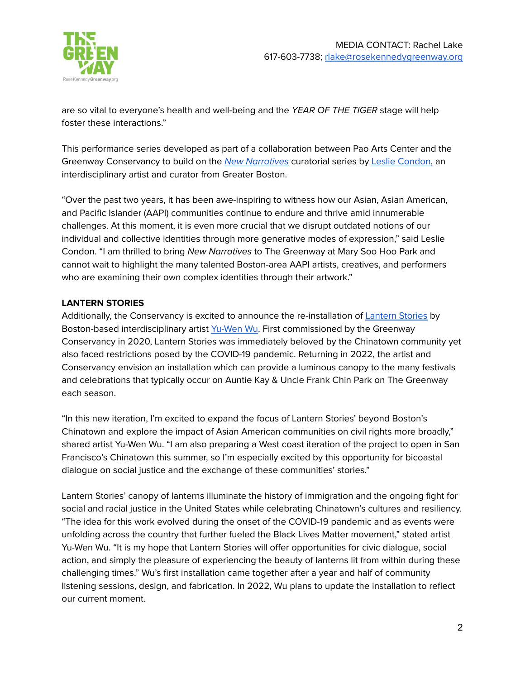

are so vital to everyone's health and well-being and the YEAR OF THE TIGER stage will help foster these interactions."

This performance series developed as part of a collaboration between Pao Arts Center and the Greenway Conservancy to build on the New [Narratives](https://www.paoartscenter.org/events/2021/new-narratives) curatorial series by Leslie [Condon,](https://www.leslieannecondon.com/news) an interdisciplinary artist and curator from Greater Boston.

"Over the past two years, it has been awe-inspiring to witness how our Asian, Asian American, and Pacific Islander (AAPI) communities continue to endure and thrive amid innumerable challenges. At this moment, it is even more crucial that we disrupt outdated notions of our individual and collective identities through more generative modes of expression," said Leslie Condon. "I am thrilled to bring New Narratives to The Greenway at Mary Soo Hoo Park and cannot wait to highlight the many talented Boston-area AAPI artists, creatives, and performers who are examining their own complex identities through their artwork."

## **LANTERN STORIES**

Additionally, the Conservancy is excited to announce the re-installation of [Lantern](https://www.rosekennedygreenway.org/lanternstories) Stories by Boston-based interdisciplinary artist [Yu-Wen](https://yuwenwustudio.com/) Wu. First commissioned by the Greenway Conservancy in 2020, Lantern Stories was immediately beloved by the Chinatown community yet also faced restrictions posed by the COVID-19 pandemic. Returning in 2022, the artist and Conservancy envision an installation which can provide a luminous canopy to the many festivals and celebrations that typically occur on Auntie Kay & Uncle Frank Chin Park on The Greenway each season.

"In this new iteration, I'm excited to expand the focus of Lantern Stories' beyond Boston's Chinatown and explore the impact of Asian American communities on civil rights more broadly," shared artist Yu-Wen Wu. "I am also preparing a West coast iteration of the project to open in San Francisco's Chinatown this summer, so I'm especially excited by this opportunity for bicoastal dialogue on social justice and the exchange of these communities' stories."

Lantern Stories' canopy of lanterns illuminate the history of immigration and the ongoing fight for social and racial justice in the United States while celebrating Chinatown's cultures and resiliency. "The idea for this work evolved during the onset of the COVID-19 pandemic and as events were unfolding across the country that further fueled the Black Lives Matter movement," stated artist Yu-Wen Wu. "It is my hope that Lantern Stories will offer opportunities for civic dialogue, social action, and simply the pleasure of experiencing the beauty of lanterns lit from within during these challenging times." Wu's first installation came together after a year and half of community listening sessions, design, and fabrication. In 2022, Wu plans to update the installation to reflect our current moment.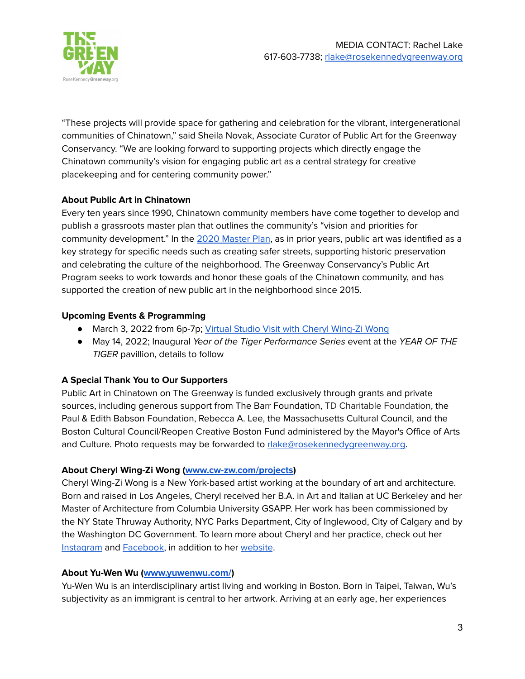

"These projects will provide space for gathering and celebration for the vibrant, intergenerational communities of Chinatown," said Sheila Novak, Associate Curator of Public Art for the Greenway Conservancy. "We are looking forward to supporting projects which directly engage the Chinatown community's vision for engaging public art as a central strategy for creative placekeeping and for centering community power."

## **About Public Art in Chinatown**

Every ten years since 1990, Chinatown community members have come together to develop and publish a grassroots master plan that outlines the community's "vision and priorities for community development." In the 2020 [Master](https://www.mapc.org/resource-library/chinatown-master-plan-2020/) Plan, as in prior years, public art was identified as a key strategy for specific needs such as creating safer streets, supporting historic preservation and celebrating the culture of the neighborhood. The Greenway Conservancy's Public Art Program seeks to work towards and honor these goals of the Chinatown community, and has supported the creation of new public art in the neighborhood since 2015.

## **Upcoming Events & Programming**

- March 3, 2022 from 6p-7p; Virtual Studio Visit with Cheryl [Wing-Zi](https://www.eventbrite.com/e/virtual-studio-visit-with-cheryl-wing-zi-wong-tickets-162452290173) Wong
- May 14, 2022; Inaugural Year of the Tiger Performance Series event at the YEAR OF THE TIGER pavillion, details to follow

# **A Special Thank You to Our Supporters**

Public Art in Chinatown on The Greenway is funded exclusively through grants and private sources, including generous support from The Barr Foundation, TD Charitable Foundation, the Paul & Edith Babson Foundation, Rebecca A. Lee, the Massachusetts Cultural Council, and the Boston Cultural Council/Reopen Creative Boston Fund administered by the Mayor's Office of Arts and Culture. Photo requests may be forwarded to [rlake@rosekennedygreenway.org.](mailto:rlake@rosekennedygreenway.org)

# **About Cheryl Wing-Zi Wong [\(www.cw-zw.com/projects](http://www.cw-zw.com/projects))**

Cheryl Wing-Zi Wong is a New York-based artist working at the boundary of art and architecture. Born and raised in Los Angeles, Cheryl received her B.A. in Art and Italian at UC Berkeley and her Master of Architecture from Columbia University GSAPP. Her work has been commissioned by the NY State Thruway Authority, NYC Parks Department, City of Inglewood, City of Calgary and by the Washington DC Government. To learn more about Cheryl and her practice, check out her [Instagram](https://www.instagram.com/cherylwzw/) and [Facebook](https://www.facebook.com/cherylwingziwong), in addition to her [website](http://www.cw-zw.com/projects).

#### **About Yu-Wen Wu ([www.yuwenwu.com/](http://www.yuwenwu.com/))**

Yu-Wen Wu is an interdisciplinary artist living and working in Boston. Born in Taipei, Taiwan, Wu's subjectivity as an immigrant is central to her artwork. Arriving at an early age, her experiences